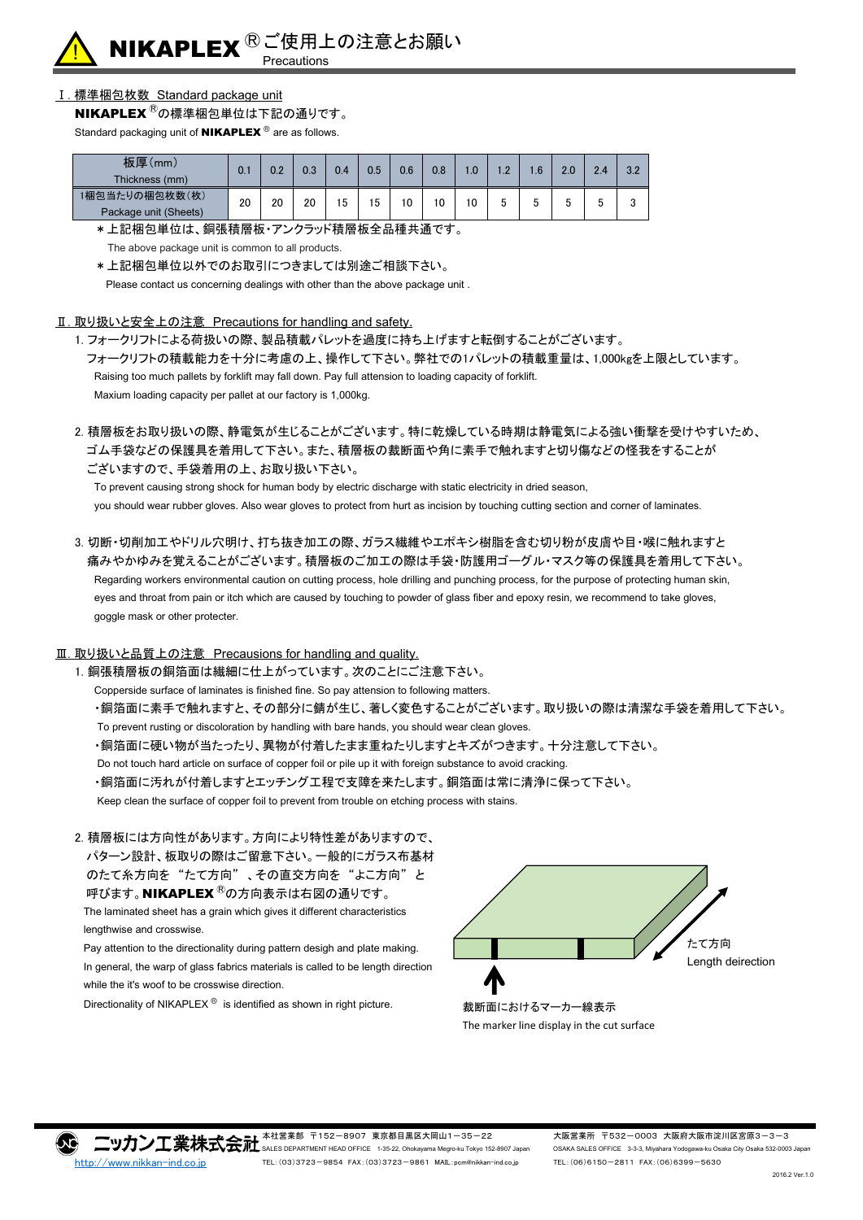

# Ⅰ. 標準梱包枚数 Standard package unit

NIKAPLEX<sup>®</sup>の標準梱包単位は下記の通りです。

Standard packaging unit of  $NIKAPLEX$ <sup>®</sup> are as follows.

| 板厚(mm)<br>Thickness (mm)                | 0.1 | 0.2 | 0.3 | 0.4 | $0.5\,$ | 0.6 | 0.8 | 0.، | $\cdot$ .2 | l.6 | 2.0    | 2.4 | 3.2             |
|-----------------------------------------|-----|-----|-----|-----|---------|-----|-----|-----|------------|-----|--------|-----|-----------------|
| 1梱包当たりの梱包枚数(枚)<br>Package unit (Sheets) | 20  | 20  | 20  | 15  | 5       | 10  | 10  | 10  |            | ັ   | ь<br>υ |     | $\sqrt{2}$<br>ν |

\*上記梱包単位は、銅張積層板・アンクラッド積層板全品種共通です。

The above package unit is common to all products.

\*上記梱包単位以外でのお取引につきましては別途ご相談下さい。

Please contact us concerning dealings with other than the above package unit .

#### Ⅱ. 取り扱いと安全上の注意 Precautions for handling and safety.

1. フォークリフトによる荷扱いの際、製品積載パレットを過度に持ち上げますと転倒することがございます。 フォークリフトの積載能力を十分に考慮の上、操作して下さい。弊社での1パレットの積載重量は、1,000kgを上限としています。 Raising too much pallets by forklift may fall down. Pay full attension to loading capacity of forklift. Maxium loading capacity per pallet at our factory is 1,000kg.

2. 積層板をお取り扱いの際、静電気が生じることがございます。特に乾燥している時期は静電気による強い衝撃を受けやすいため、 ゴム手袋などの保護具を着用して下さい。また、積層板の裁断面や角に素手で触れますと切り傷などの怪我をすることが ございますので、手袋着用の上、お取り扱い下さい。

To prevent causing strong shock for human body by electric discharge with static electricity in dried season, you should wear rubber gloves. Also wear gloves to protect from hurt as incision by touching cutting section and corner of laminates.

3. 切断・切削加工やドリル穴明け、打ち抜き加工の際、ガラス繊維やエポキシ樹脂を含む切り粉が皮膚や目・喉に触れますと 痛みやかゆみを覚えることがございます。積層板のご加工の際は手袋・防護用ゴーグル・マスク等の保護具を着用して下さい。 Regarding workers environmental caution on cutting process, hole drilling and punching process, for the purpose of protecting human skin, eyes and throat from pain or itch which are caused by touching to powder of glass fiber and epoxy resin, we recommend to take gloves, goggle mask or other protecter.

### Ⅲ. 取り扱いと品質上の注意 Precausions for handling and quality.

1. 銅張積層板の銅箔面は繊細に仕上がっています。次のことにご注意下さい。

Copperside surface of laminates is finished fine. So pay attension to following matters.

・銅箔面に素手で触れますと、その部分に錆が生じ、著しく変色することがございます。取り扱いの際は清潔な手袋を着用して下さい。 To prevent rusting or discoloration by handling with bare hands, you should wear clean gloves.

・銅箔面に硬い物が当たったり、異物が付着したまま重ねたりしますとキズがつきます。十分注意して下さい。

Do not touch hard article on surface of copper foil or pile up it with foreign substance to avoid cracking.

・銅箔面に汚れが付着しますとエッチング工程で支障を来たします。銅箔面は常に清浄に保って下さい。

Keep clean the surface of copper foil to prevent from trouble on etching process with stains.

#### 2. 積層板には方向性があります。方向により特性差がありますので、

 パターン設計、板取りの際はご留意下さい。一般的にガラス布基材 のたて糸方向を "たて方向" 、その直交方向を "よこ方向" と 呼びます。NIKAPLEX<sup>®</sup>の方向表示は右図の通りです。 The laminated sheet has a grain which gives it different characteristics lengthwise and crosswise.

 Pay attention to the directionality during pattern desigh and plate making. In general, the warp of glass fabrics materials is called to be length direction while the it's woof to be crosswise direction.

Directionality of NIKAPLEX<sup>®</sup> is identified as shown in right picture.



本社営業部 〒152-8907 東京都目黒区大岡山1-35-22 大阪営業所 〒532-0003 大阪府大阪市淀川区宮原3-3-3  $\square$  y $\pi$   $\square$   $\mathbb{R}$   $\star$   $\mathbb{R}$   $\mathbb{R}$   $\mathbb{R}$  sales Department HEAD OFFICE 1-35-22, Ohokayama Megro-ku Tokyo 152-8907 Japan OSAKA SALES OFFICE 3-3-3, Miyahara Yodogawa-ku Osaka City Osaka 532-0003 Japan [http://www.nikkan-ind.co.jp](http://www.nikkan-ind.co.jp/) TEL:(03)3723-9854 FAX:(03)3723-9861 MAIL:pcm@nikkan-ind.co.jp TEL:(06)6150-2811 FAX:(06)6399-5630